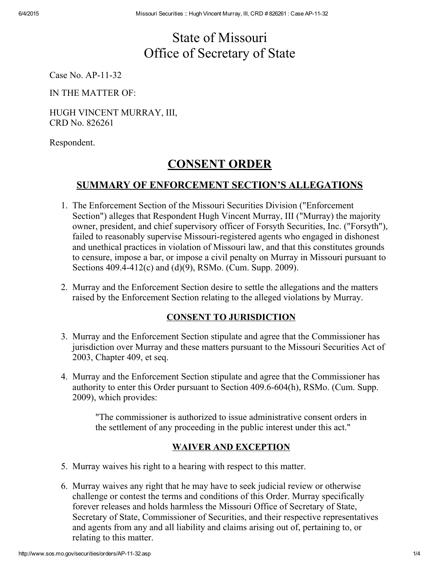# State of Missouri Office of Secretary of State

Case No. AP-11-32

IN THE MATTER OF:

HUGH VINCENT MURRAY, III, CRD No. 826261

Respondent.

# CONSENT ORDER

# SUMMARY OF ENFORCEMENT SECTION'S ALLEGATIONS

- 1. The Enforcement Section of the Missouri Securities Division ("Enforcement Section") alleges that Respondent Hugh Vincent Murray, III ("Murray) the majority owner, president, and chief supervisory officer of Forsyth Securities, Inc. ("Forsyth"), failed to reasonably supervise Missouri-registered agents who engaged in dishonest and unethical practices in violation of Missouri law, and that this constitutes grounds to censure, impose a bar, or impose a civil penalty on Murray in Missouri pursuant to Sections 409.4412(c) and (d)(9), RSMo. (Cum. Supp. 2009).
- 2. Murray and the Enforcement Section desire to settle the allegations and the matters raised by the Enforcement Section relating to the alleged violations by Murray.

#### CONSENT TO JURISDICTION

- 3. Murray and the Enforcement Section stipulate and agree that the Commissioner has jurisdiction over Murray and these matters pursuant to the Missouri Securities Act of 2003, Chapter 409, et seq.
- 4. Murray and the Enforcement Section stipulate and agree that the Commissioner has authority to enter this Order pursuant to Section 409.6-604(h), RSMo. (Cum. Supp. 2009), which provides:

"The commissioner is authorized to issue administrative consent orders in the settlement of any proceeding in the public interest under this act."

#### WAIVER AND EXCEPTION

- 5. Murray waives his right to a hearing with respect to this matter.
- 6. Murray waives any right that he may have to seek judicial review or otherwise challenge or contest the terms and conditions of this Order. Murray specifically forever releases and holds harmless the Missouri Office of Secretary of State, Secretary of State, Commissioner of Securities, and their respective representatives and agents from any and all liability and claims arising out of, pertaining to, or relating to this matter.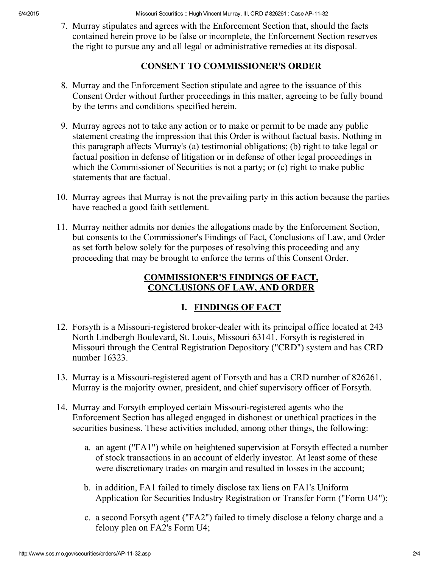7. Murray stipulates and agrees with the Enforcement Section that, should the facts contained herein prove to be false or incomplete, the Enforcement Section reserves the right to pursue any and all legal or administrative remedies at its disposal.

### CONSENT TO COMMISSIONER'S ORDER

- 8. Murray and the Enforcement Section stipulate and agree to the issuance of this Consent Order without further proceedings in this matter, agreeing to be fully bound by the terms and conditions specified herein.
- 9. Murray agrees not to take any action or to make or permit to be made any public statement creating the impression that this Order is without factual basis. Nothing in this paragraph affects Murray's (a) testimonial obligations; (b) right to take legal or factual position in defense of litigation or in defense of other legal proceedings in which the Commissioner of Securities is not a party; or (c) right to make public statements that are factual.
- 10. Murray agrees that Murray is not the prevailing party in this action because the parties have reached a good faith settlement.
- 11. Murray neither admits nor denies the allegations made by the Enforcement Section, but consents to the Commissioner's Findings of Fact, Conclusions of Law, and Order as set forth below solely for the purposes of resolving this proceeding and any proceeding that may be brought to enforce the terms of this Consent Order.

#### COMMISSIONER'S FINDINGS OF FACT, CONCLUSIONS OF LAW, AND ORDER

# I. FINDINGS OF FACT

- 12. Forsyth is a Missouri-registered broker-dealer with its principal office located at 243 North Lindbergh Boulevard, St. Louis, Missouri 63141. Forsyth is registered in Missouri through the Central Registration Depository ("CRD") system and has CRD number 16323.
- 13. Murray is a Missouri-registered agent of Forsyth and has a CRD number of 826261. Murray is the majority owner, president, and chief supervisory officer of Forsyth.
- 14. Murray and Forsyth employed certain Missouri-registered agents who the Enforcement Section has alleged engaged in dishonest or unethical practices in the securities business. These activities included, among other things, the following:
	- a. an agent ("FA1") while on heightened supervision at Forsyth effected a number of stock transactions in an account of elderly investor. At least some of these were discretionary trades on margin and resulted in losses in the account;
	- b. in addition, FA1 failed to timely disclose tax liens on FA1's Uniform Application for Securities Industry Registration or Transfer Form ("Form U4");
	- c. a second Forsyth agent ("FA2") failed to timely disclose a felony charge and a felony plea on FA2's Form U4;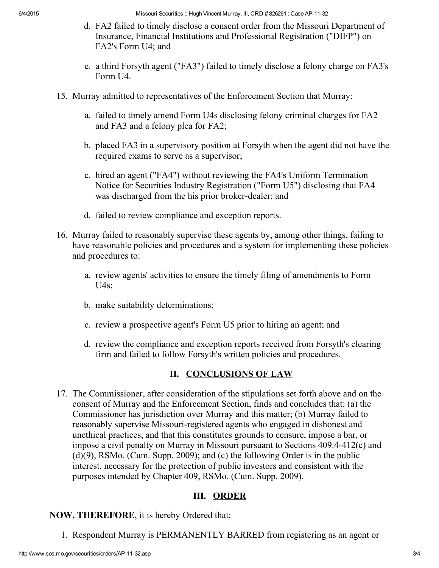- d. FA2 failed to timely disclose a consent order from the Missouri Department of Insurance, Financial Institutions and Professional Registration ("DIFP") on FA2's Form U4; and
- e. a third Forsyth agent ("FA3") failed to timely disclose a felony charge on FA3's Form U4.
- 15. Murray admitted to representatives of the Enforcement Section that Murray:
	- a. failed to timely amend Form U4s disclosing felony criminal charges for FA2 and FA3 and a felony plea for FA2;
	- b. placed FA3 in a supervisory position at Forsyth when the agent did not have the required exams to serve as a supervisor;
	- c. hired an agent ("FA4") without reviewing the FA4's Uniform Termination Notice for Securities Industry Registration ("Form U5") disclosing that FA4 was discharged from the his prior broker-dealer; and
	- d. failed to review compliance and exception reports.
- 16. Murray failed to reasonably supervise these agents by, among other things, failing to have reasonable policies and procedures and a system for implementing these policies and procedures to:
	- a. review agents' activities to ensure the timely filing of amendments to Form  $U4s$ :
	- b. make suitability determinations;
	- c. review a prospective agent's Form U5 prior to hiring an agent; and
	- d. review the compliance and exception reports received from Forsyth's clearing firm and failed to follow Forsyth's written policies and procedures.

# II. CONCLUSIONS OF LAW

17. The Commissioner, after consideration of the stipulations set forth above and on the consent of Murray and the Enforcement Section, finds and concludes that: (a) the Commissioner has jurisdiction over Murray and this matter; (b) Murray failed to reasonably supervise Missouri-registered agents who engaged in dishonest and unethical practices, and that this constitutes grounds to censure, impose a bar, or impose a civil penalty on Murray in Missouri pursuant to Sections 409.4412(c) and (d)(9), RSMo. (Cum. Supp. 2009); and (c) the following Order is in the public interest, necessary for the protection of public investors and consistent with the purposes intended by Chapter 409, RSMo. (Cum. Supp. 2009).

#### III. ORDER

#### NOW, THEREFORE, it is hereby Ordered that:

1. Respondent Murray is PERMANENTLY BARRED from registering as an agent or